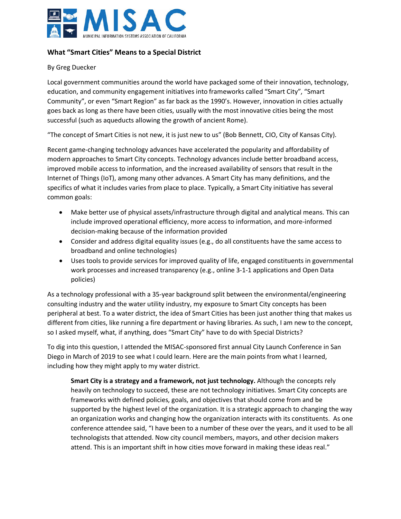

## **What "Smart Cities" Means to a Special District**

## By Greg Duecker

Local government communities around the world have packaged some of their innovation, technology, education, and community engagement initiatives into frameworks called "Smart City", "Smart Community", or even "Smart Region" as far back as the 1990's. However, innovation in cities actually goes back as long as there have been cities, usually with the most innovative cities being the most successful (such as aqueducts allowing the growth of ancient Rome).

"The concept of Smart Cities is not new, it is just new to us" (Bob Bennett, CIO, City of Kansas City).

Recent game-changing technology advances have accelerated the popularity and affordability of modern approaches to Smart City concepts. Technology advances include better broadband access, improved mobile access to information, and the increased availability of sensors that result in the Internet of Things (IoT), among many other advances. A Smart City has many definitions, and the specifics of what it includes varies from place to place. Typically, a Smart City initiative has several common goals:

- Make better use of physical assets/infrastructure through digital and analytical means. This can include improved operational efficiency, more access to information, and more-informed decision-making because of the information provided
- Consider and address digital equality issues (e.g., do all constituents have the same access to broadband and online technologies)
- Uses tools to provide services for improved quality of life, engaged constituents in governmental work processes and increased transparency (e.g., online 3-1-1 applications and Open Data policies)

As a technology professional with a 35-year background split between the environmental/engineering consulting industry and the water utility industry, my exposure to Smart City concepts has been peripheral at best. To a water district, the idea of Smart Cities has been just another thing that makes us different from cities, like running a fire department or having libraries. As such, I am new to the concept, so I asked myself, what, if anything, does "Smart City" have to do with Special Districts?

To dig into this question, I attended the MISAC-sponsored first annual City Launch Conference in San Diego in March of 2019 to see what I could learn. Here are the main points from what I learned, including how they might apply to my water district.

**Smart City is a strategy and a framework, not just technology.** Although the concepts rely heavily on technology to succeed, these are not technology initiatives. Smart City concepts are frameworks with defined policies, goals, and objectives that should come from and be supported by the highest level of the organization. It is a strategic approach to changing the way an organization works and changing how the organization interacts with its constituents. As one conference attendee said, "I have been to a number of these over the years, and it used to be all technologists that attended. Now city council members, mayors, and other decision makers attend. This is an important shift in how cities move forward in making these ideas real."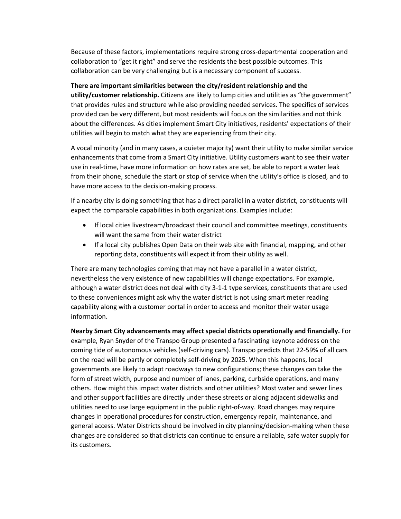Because of these factors, implementations require strong cross-departmental cooperation and collaboration to "get it right" and serve the residents the best possible outcomes. This collaboration can be very challenging but is a necessary component of success.

## **There are important similarities between the city/resident relationship and the**

**utility/customer relationship.** Citizens are likely to lump cities and utilities as "the government" that provides rules and structure while also providing needed services. The specifics of services provided can be very different, but most residents will focus on the similarities and not think about the differences. As cities implement Smart City initiatives, residents' expectations of their utilities will begin to match what they are experiencing from their city.

A vocal minority (and in many cases, a quieter majority) want their utility to make similar service enhancements that come from a Smart City initiative. Utility customers want to see their water use in real-time, have more information on how rates are set, be able to report a water leak from their phone, schedule the start or stop of service when the utility's office is closed, and to have more access to the decision-making process.

If a nearby city is doing something that has a direct parallel in a water district, constituents will expect the comparable capabilities in both organizations. Examples include:

- If local cities livestream/broadcast their council and committee meetings, constituents will want the same from their water district
- If a local city publishes Open Data on their web site with financial, mapping, and other reporting data, constituents will expect it from their utility as well.

There are many technologies coming that may not have a parallel in a water district, nevertheless the very existence of new capabilities will change expectations. For example, although a water district does not deal with city 3-1-1 type services, constituents that are used to these conveniences might ask why the water district is not using smart meter reading capability along with a customer portal in order to access and monitor their water usage information.

**Nearby Smart City advancements may affect special districts operationally and financially.** For example, Ryan Snyder of the Transpo Group presented a fascinating keynote address on the coming tide of autonomous vehicles (self-driving cars). Transpo predicts that 22-59% of all cars on the road will be partly or completely self-driving by 2025. When this happens, local governments are likely to adapt roadways to new configurations; these changes can take the form of street width, purpose and number of lanes, parking, curbside operations, and many others. How might this impact water districts and other utilities? Most water and sewer lines and other support facilities are directly under these streets or along adjacent sidewalks and utilities need to use large equipment in the public right-of-way. Road changes may require changes in operational procedures for construction, emergency repair, maintenance, and general access. Water Districts should be involved in city planning/decision-making when these changes are considered so that districts can continue to ensure a reliable, safe water supply for its customers.